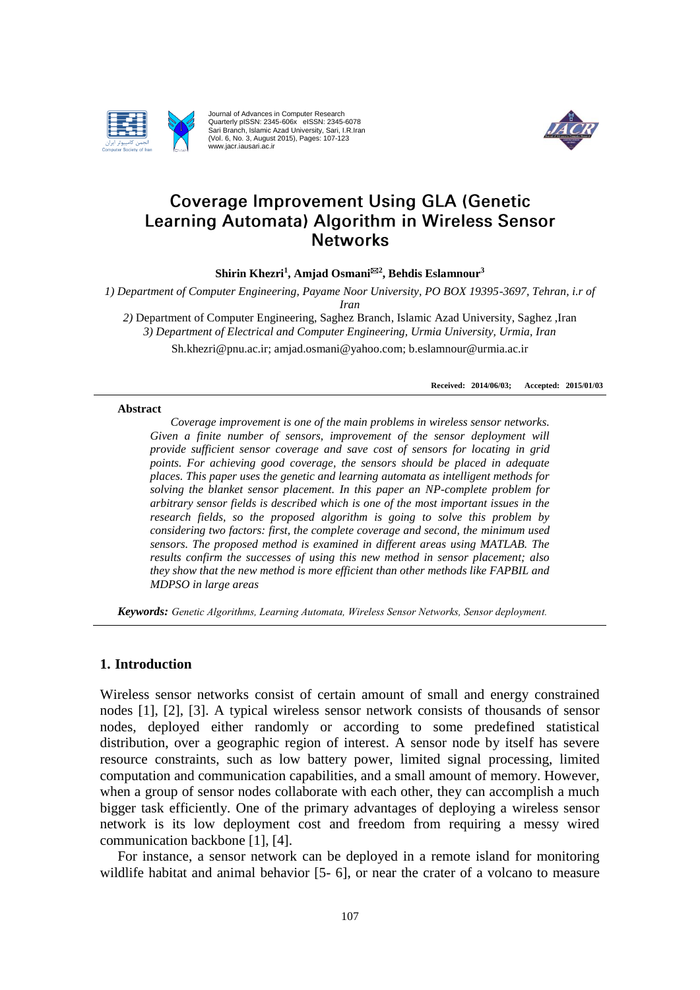

Journal of Advances in Computer Research Quarterly pISSN: 2345-606x eISSN: 2345-6078 Sari Branch, Islamic Azad University, Sari, I.R.Iran (Vol. 6, No. 3, August 2015), Pages: 107-123 www.jacr.iausari.ac.ir



# **Coverage Improvement Using GLA (Genetic** Learning Automata) Algorithm in Wireless Sensor **Networks**

**Shirin Khezri<sup>1</sup> , Amjad Osmani<sup>2</sup> , Behdis Eslamnour<sup>3</sup>**

*1) Department of Computer Engineering, Payame Noor University, PO BOX 19395-3697, Tehran, i.r of* 

*Iran*

*2)* Department of Computer Engineering, Saghez Branch, Islamic Azad University, Saghez ,Iran *3) Department of Electrical and Computer Engineering, Urmia University, Urmia, Iran* Sh.khezri@pnu.ac.ir; amjad.osmani@yahoo.com; b.eslamnour@urmia.ac.ir

**Received: 2014/06/03; Accepted: 2015/01/03**

#### **Abstract**

*Coverage improvement is one of the main problems in wireless sensor networks. Given a finite number of sensors, improvement of the sensor deployment will provide sufficient sensor coverage and save cost of sensors for locating in grid points. For achieving good coverage, the sensors should be placed in adequate places. This paper uses the genetic and learning automata as intelligent methods for solving the blanket sensor placement. In this paper an NP-complete problem for arbitrary sensor fields is described which is one of the most important issues in the research fields, so the proposed algorithm is going to solve this problem by considering two factors: first, the complete coverage and second, the minimum used sensors. The proposed method is examined in different areas using MATLAB. The results confirm the successes of using this new method in sensor placement; also they show that the new method is more efficient than other methods like FAPBIL and MDPSO in large areas*

*Keywords: Genetic Algorithms, Learning Automata, Wireless Sensor Networks, Sensor deployment.*

# **1. Introduction**

Wireless sensor networks consist of certain amount of small and energy constrained nodes [1], [2], [3]. A typical wireless sensor network consists of thousands of sensor nodes, deployed either randomly or according to some predefined statistical distribution, over a geographic region of interest. A sensor node by itself has severe resource constraints, such as low battery power, limited signal processing, limited computation and communication capabilities, and a small amount of memory. However, when a group of sensor nodes collaborate with each other, they can accomplish a much bigger task efficiently. One of the primary advantages of deploying a wireless sensor network is its low deployment cost and freedom from requiring a messy wired communication backbone [1], [4].

 For instance, a sensor network can be deployed in a remote island for monitoring wildlife habitat and animal behavior [5- 6], or near the crater of a volcano to measure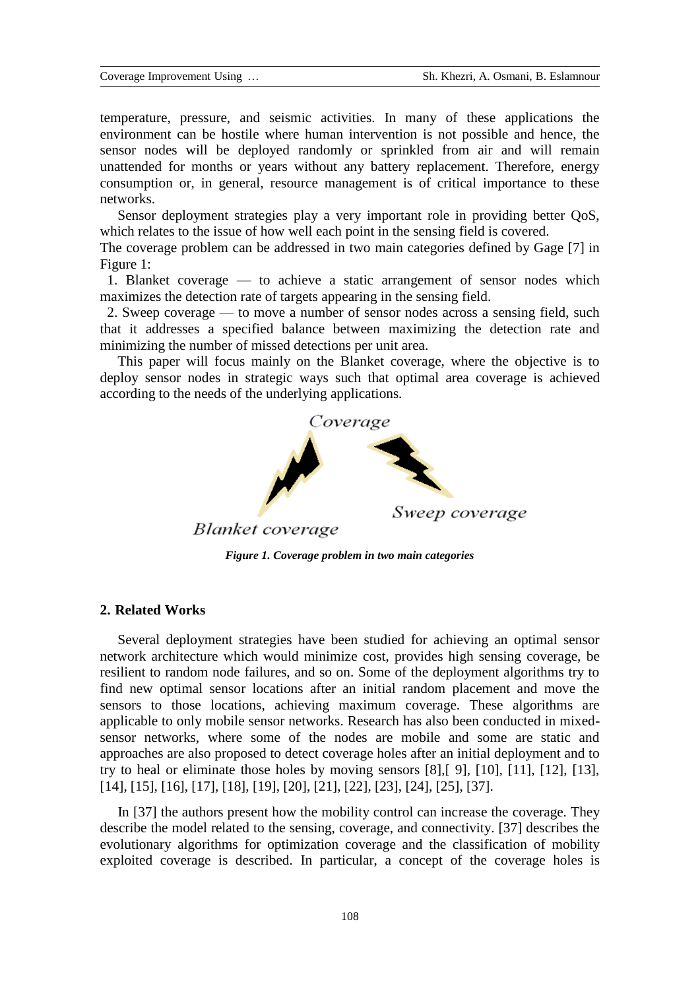temperature, pressure, and seismic activities. In many of these applications the environment can be hostile where human intervention is not possible and hence, the sensor nodes will be deployed randomly or sprinkled from air and will remain unattended for months or years without any battery replacement. Therefore, energy consumption or, in general, resource management is of critical importance to these networks.

 Sensor deployment strategies play a very important role in providing better QoS, which relates to the issue of how well each point in the sensing field is covered.

The coverage problem can be addressed in two main categories defined by Gage [7] in Figure 1:

 1. Blanket coverage — to achieve a static arrangement of sensor nodes which maximizes the detection rate of targets appearing in the sensing field.

 2. Sweep coverage — to move a number of sensor nodes across a sensing field, such that it addresses a specified balance between maximizing the detection rate and minimizing the number of missed detections per unit area.

 This paper will focus mainly on the Blanket coverage, where the objective is to deploy sensor nodes in strategic ways such that optimal area coverage is achieved according to the needs of the underlying applications*.*



*Figure 1. Coverage problem in two main categories*

# **2. Related Works**

 Several deployment strategies have been studied for achieving an optimal sensor network architecture which would minimize cost, provides high sensing coverage, be resilient to random node failures, and so on. Some of the deployment algorithms try to find new optimal sensor locations after an initial random placement and move the sensors to those locations, achieving maximum coverage. These algorithms are applicable to only mobile sensor networks. Research has also been conducted in mixedsensor networks, where some of the nodes are mobile and some are static and approaches are also proposed to detect coverage holes after an initial deployment and to try to heal or eliminate those holes by moving sensors [8],[ 9], [10], [11], [12], [13], [14], [15], [16], [17], [18], [19], [20], [21], [22], [23], [24], [25], [37].

In [37] the authors present how the mobility control can increase the coverage. They describe the model related to the sensing, coverage, and connectivity. [37] describes the evolutionary algorithms for optimization coverage and the classification of mobility exploited coverage is described. In particular, a concept of the coverage holes is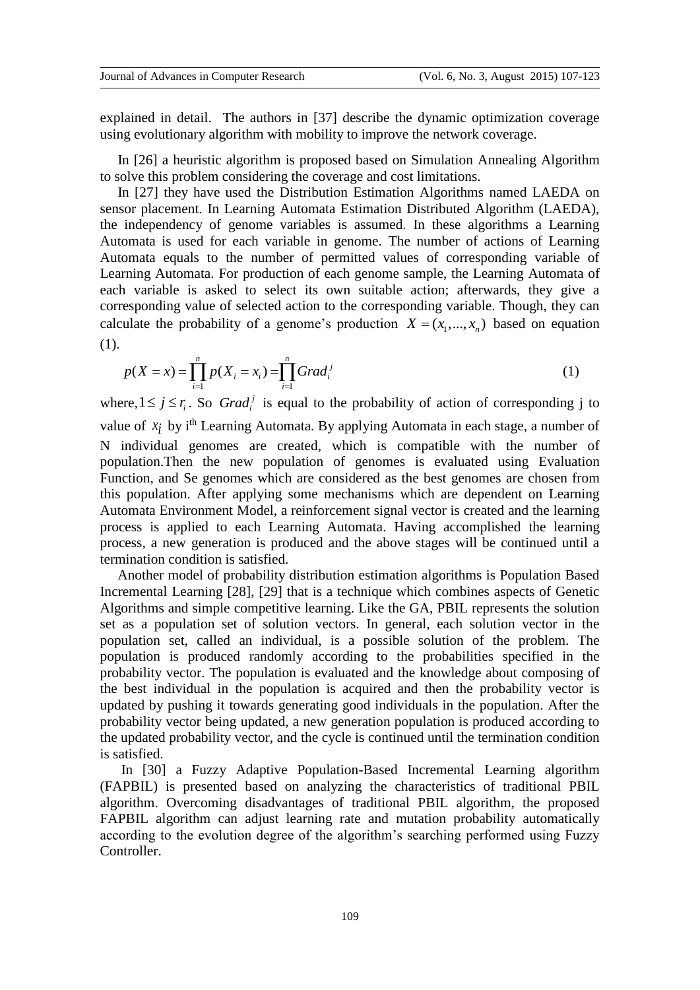explained in detail. The authors in [37] describe the dynamic optimization coverage using evolutionary algorithm with mobility to improve the network coverage.

 In [26] a heuristic algorithm is proposed based on Simulation Annealing Algorithm to solve this problem considering the coverage and cost limitations.

 In [27] they have used the Distribution Estimation Algorithms named LAEDA on sensor placement. In Learning Automata Estimation Distributed Algorithm (LAEDA), the independency of genome variables is assumed. In these algorithms a Learning Automata is used for each variable in genome. The number of actions of Learning Automata equals to the number of permitted values of corresponding variable of Learning Automata. For production of each genome sample, the Learning Automata of each variable is asked to select its own suitable action; afterwards, they give a corresponding value of selected action to the corresponding variable. Though, they can calculate the probability of a genome's production  $X = (x_1, ..., x_n)$  based on equation (1).

$$
p(X = x) = \prod_{i=1}^{n} p(X_i = x_i) = \prod_{i=1}^{n} Grad_i^{j}
$$
 (1)

where,  $1 \le j \le r_i$ . So *Grad<sub>i</sub>*<sup>*i*</sup> is equal to the probability of action of corresponding j to value of  $x_i$  by i<sup>th</sup> Learning Automata. By applying Automata in each stage, a number of N individual genomes are created, which is compatible with the number of population.Then the new population of genomes is evaluated using Evaluation Function, and Se genomes which are considered as the best genomes are chosen from this population. After applying some mechanisms which are dependent on Learning Automata Environment Model, a reinforcement signal vector is created and the learning process is applied to each Learning Automata. Having accomplished the learning process, a new generation is produced and the above stages will be continued until a termination condition is satisfied.

 Another model of probability distribution estimation algorithms is Population Based Incremental Learning [28], [29] that is a technique which combines aspects of Genetic Algorithms and simple competitive learning. Like the GA, PBIL represents the solution set as a population set of solution vectors. In general, each solution vector in the population set, called an individual, is a possible solution of the problem. The population is produced randomly according to the probabilities specified in the probability vector. The population is evaluated and the knowledge about composing of the best individual in the population is acquired and then the probability vector is updated by pushing it towards generating good individuals in the population. After the probability vector being updated, a new generation population is produced according to the updated probability vector, and the cycle is continued until the termination condition is satisfied.

 In [30] a Fuzzy Adaptive Population-Based Incremental Learning algorithm (FAPBIL) is presented based on analyzing the characteristics of traditional PBIL algorithm. Overcoming disadvantages of traditional PBIL algorithm, the proposed FAPBIL algorithm can adjust learning rate and mutation probability automatically according to the evolution degree of the algorithm's searching performed using Fuzzy Controller.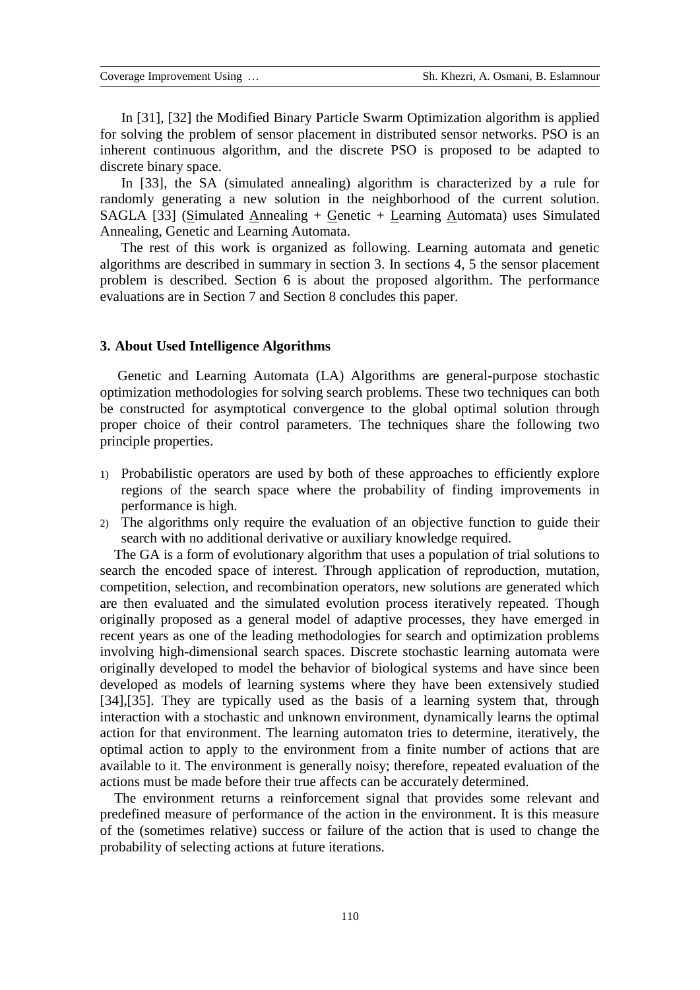In [31], [32] the Modified Binary Particle Swarm Optimization algorithm is applied for solving the problem of sensor placement in distributed sensor networks. PSO is an inherent continuous algorithm, and the discrete PSO is proposed to be adapted to discrete binary space.

 In [33], the SA (simulated annealing) algorithm is characterized by a rule for randomly generating a new solution in the neighborhood of the current solution. SAGLA [33] (Simulated Annealing + Genetic + Learning Automata) uses Simulated Annealing, Genetic and Learning Automata.

 The rest of this work is organized as following. Learning automata and genetic algorithms are described in summary in section 3. In sections 4, 5 the sensor placement problem is described. Section 6 is about the proposed algorithm. The performance evaluations are in Section 7 and Section 8 concludes this paper.

### **3. About Used Intelligence Algorithms**

 Genetic and Learning Automata (LA) Algorithms are general-purpose stochastic optimization methodologies for solving search problems. These two techniques can both be constructed for asymptotical convergence to the global optimal solution through proper choice of their control parameters. The techniques share the following two principle properties.

- 1) Probabilistic operators are used by both of these approaches to efficiently explore regions of the search space where the probability of finding improvements in performance is high.
- 2) The algorithms only require the evaluation of an objective function to guide their search with no additional derivative or auxiliary knowledge required.

 The GA is a form of evolutionary algorithm that uses a population of trial solutions to search the encoded space of interest. Through application of reproduction, mutation, competition, selection, and recombination operators, new solutions are generated which are then evaluated and the simulated evolution process iteratively repeated. Though originally proposed as a general model of adaptive processes, they have emerged in recent years as one of the leading methodologies for search and optimization problems involving high-dimensional search spaces. Discrete stochastic learning automata were originally developed to model the behavior of biological systems and have since been developed as models of learning systems where they have been extensively studied [34],[35]. They are typically used as the basis of a learning system that, through interaction with a stochastic and unknown environment, dynamically learns the optimal action for that environment. The learning automaton tries to determine, iteratively, the optimal action to apply to the environment from a finite number of actions that are available to it. The environment is generally noisy; therefore, repeated evaluation of the actions must be made before their true affects can be accurately determined.

 The environment returns a reinforcement signal that provides some relevant and predefined measure of performance of the action in the environment. It is this measure of the (sometimes relative) success or failure of the action that is used to change the probability of selecting actions at future iterations.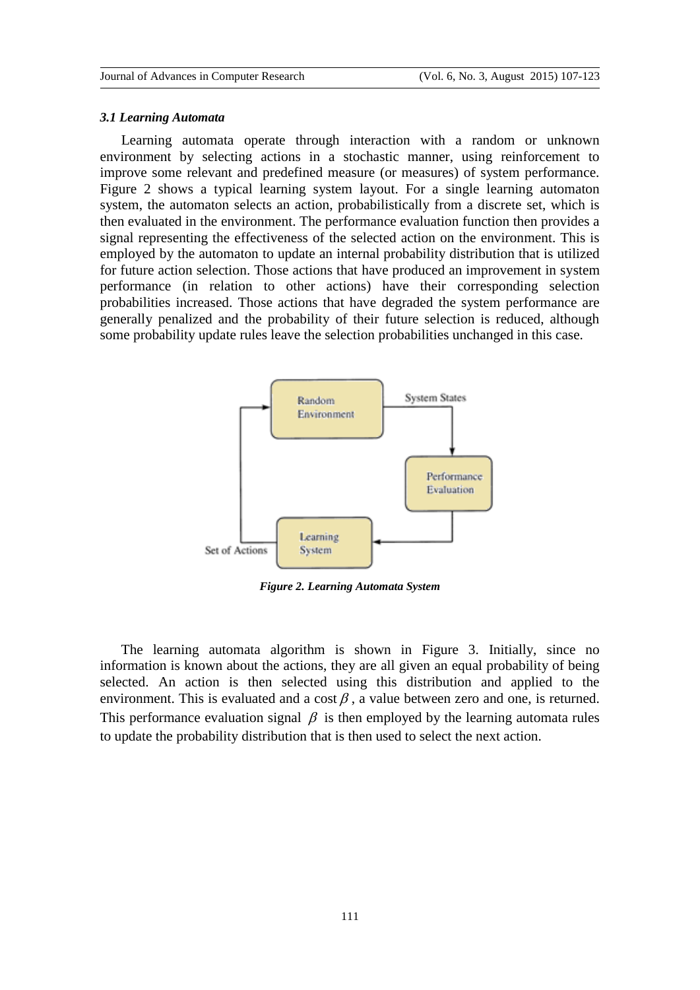#### *3.1 Learning Automata*

 Learning automata operate through interaction with a random or unknown environment by selecting actions in a stochastic manner, using reinforcement to improve some relevant and predefined measure (or measures) of system performance. Figure 2 shows a typical learning system layout. For a single learning automaton system, the automaton selects an action, probabilistically from a discrete set, which is then evaluated in the environment. The performance evaluation function then provides a signal representing the effectiveness of the selected action on the environment. This is employed by the automaton to update an internal probability distribution that is utilized for future action selection. Those actions that have produced an improvement in system performance (in relation to other actions) have their corresponding selection probabilities increased. Those actions that have degraded the system performance are generally penalized and the probability of their future selection is reduced, although some probability update rules leave the selection probabilities unchanged in this case.



*Figure 2. Learning Automata System*

 The learning automata algorithm is shown in Figure 3. Initially, since no information is known about the actions, they are all given an equal probability of being selected. An action is then selected using this distribution and applied to the environment. This is evaluated and a cost  $\beta$ , a value between zero and one, is returned. This performance evaluation signal  $\beta$  is then employed by the learning automata rules to update the probability distribution that is then used to select the next action.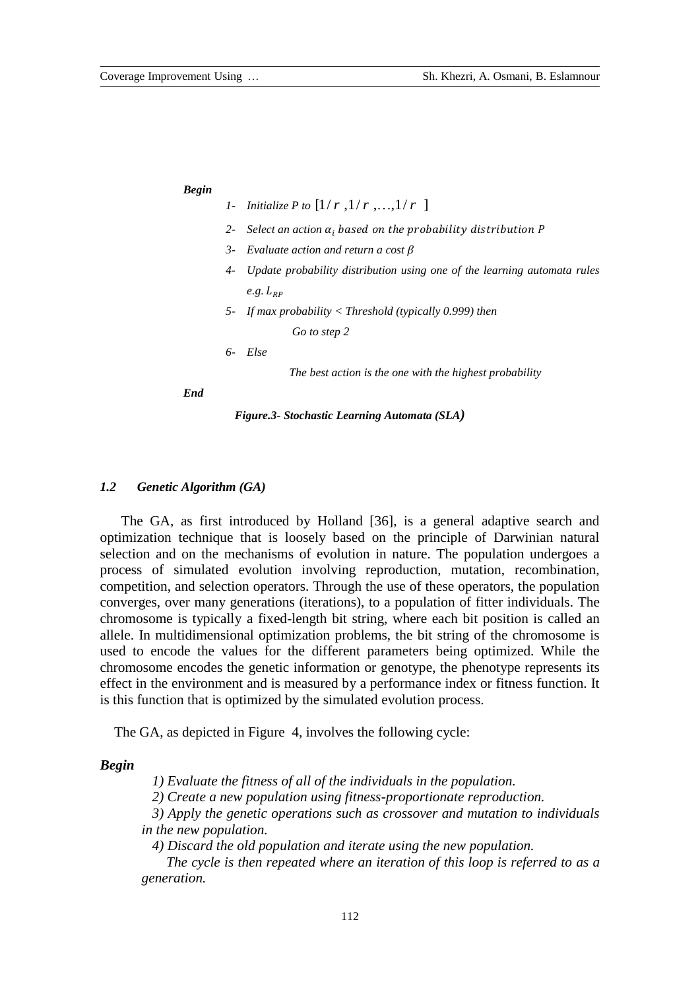| <b>Begin</b> |  |
|--------------|--|
|              |  |

*1- Initialize P to*  $[1/r, 1/r, ..., 1/r]$ 

- *2 Select an action*  $\alpha_i$  based on the probability distribution P
- *3- Evaluate action and return a cost*
- *4- Update probability distribution using one of the learning automata rules*   $e.g. L_{RP}$
- *5- If max probability < Threshold (typically 0.999) then Go to step 2*

*6- Else* 

*The best action is the one with the highest probability*

*End*

*Figure.3- Stochastic Learning Automata (SLA)*

## *1.2 Genetic Algorithm (GA)*

 The GA, as first introduced by Holland [36], is a general adaptive search and optimization technique that is loosely based on the principle of Darwinian natural selection and on the mechanisms of evolution in nature. The population undergoes a process of simulated evolution involving reproduction, mutation, recombination, competition, and selection operators. Through the use of these operators, the population converges, over many generations (iterations), to a population of fitter individuals. The chromosome is typically a fixed-length bit string, where each bit position is called an allele. In multidimensional optimization problems, the bit string of the chromosome is used to encode the values for the different parameters being optimized. While the chromosome encodes the genetic information or genotype, the phenotype represents its effect in the environment and is measured by a performance index or fitness function. It is this function that is optimized by the simulated evolution process.

The GA, as depicted in Figure 4, involves the following cycle:

### *Begin*

 *1) Evaluate the fitness of all of the individuals in the population.*

 *2) Create a new population using fitness-proportionate reproduction.*

 *3) Apply the genetic operations such as crossover and mutation to individuals in the new population.*

 *4) Discard the old population and iterate using the new population.* 

 *The cycle is then repeated where an iteration of this loop is referred to as a generation.*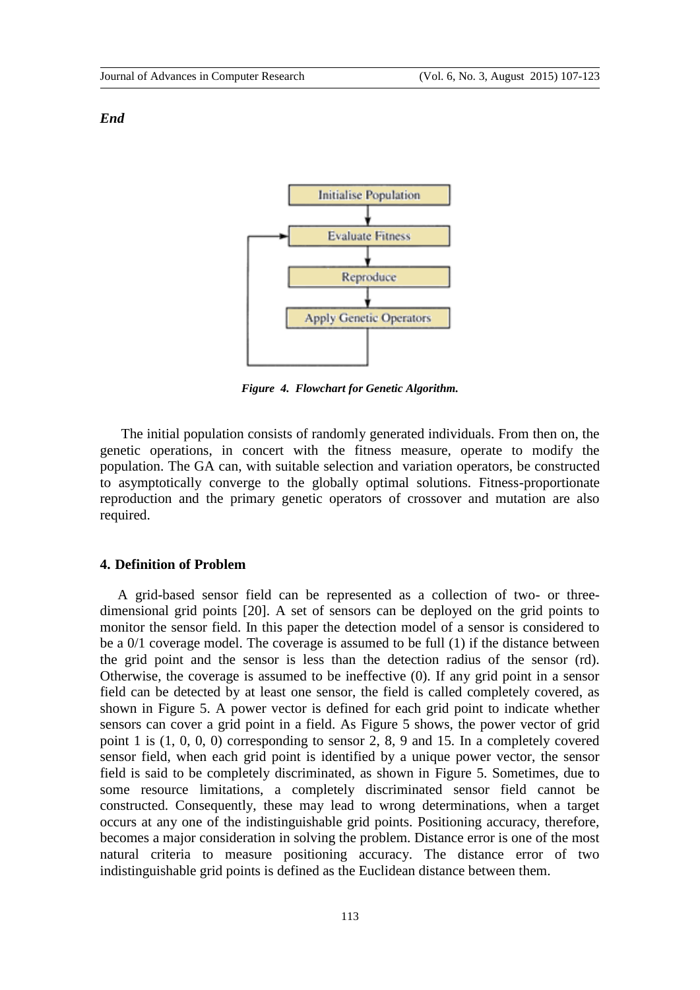#### *End*



*Figure 4. Flowchart for Genetic Algorithm.*

 The initial population consists of randomly generated individuals. From then on, the genetic operations, in concert with the fitness measure, operate to modify the population. The GA can, with suitable selection and variation operators, be constructed to asymptotically converge to the globally optimal solutions. Fitness-proportionate reproduction and the primary genetic operators of crossover and mutation are also required.

# **4. Definition of Problem**

 A grid-based sensor field can be represented as a collection of two- or threedimensional grid points [20]. A set of sensors can be deployed on the grid points to monitor the sensor field. In this paper the detection model of a sensor is considered to be a 0/1 coverage model. The coverage is assumed to be full (1) if the distance between the grid point and the sensor is less than the detection radius of the sensor (rd). Otherwise, the coverage is assumed to be ineffective (0). If any grid point in a sensor field can be detected by at least one sensor, the field is called completely covered, as shown in Figure 5. A power vector is defined for each grid point to indicate whether sensors can cover a grid point in a field. As Figure 5 shows, the power vector of grid point 1 is (1, 0, 0, 0) corresponding to sensor 2, 8, 9 and 15. In a completely covered sensor field, when each grid point is identified by a unique power vector, the sensor field is said to be completely discriminated, as shown in Figure 5. Sometimes, due to some resource limitations, a completely discriminated sensor field cannot be constructed. Consequently, these may lead to wrong determinations, when a target occurs at any one of the indistinguishable grid points. Positioning accuracy, therefore, becomes a major consideration in solving the problem. Distance error is one of the most natural criteria to measure positioning accuracy. The distance error of two indistinguishable grid points is defined as the Euclidean distance between them.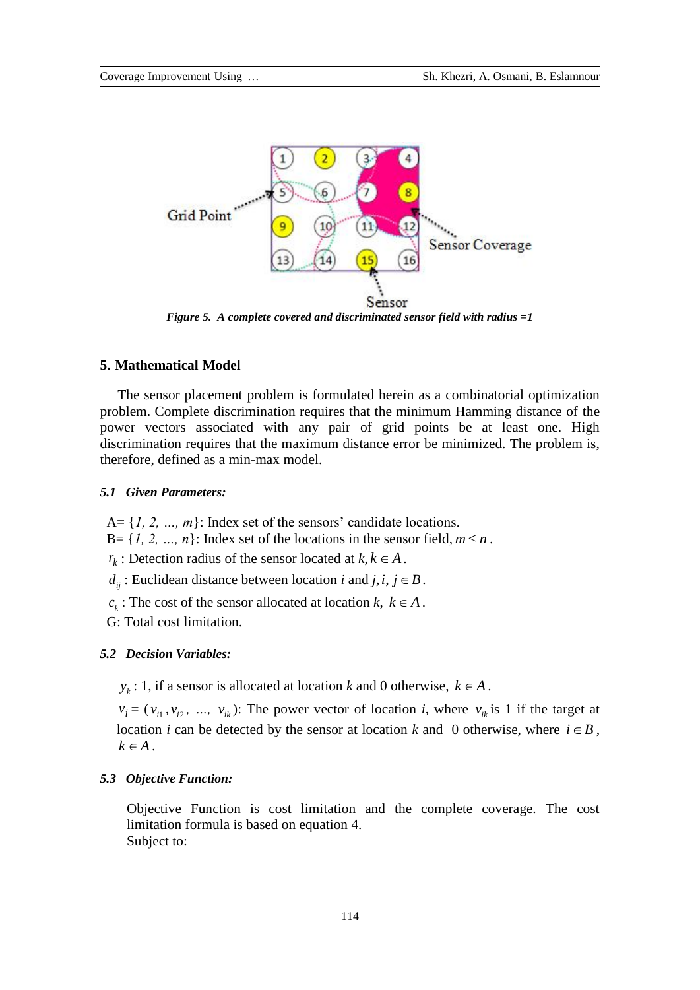

*Figure 5. A complete covered and discriminated sensor field with radius =1*

## **5. Mathematical Model**

 The sensor placement problem is formulated herein as a combinatorial optimization problem. Complete discrimination requires that the minimum Hamming distance of the power vectors associated with any pair of grid points be at least one. High discrimination requires that the maximum distance error be minimized. The problem is, therefore, defined as a min-max model.

## *5.1 Given Parameters:*

 $A = \{1, 2, ..., m\}$ : Index set of the sensors' candidate locations.

 $B = \{1, 2, ..., n\}$ : Index set of the locations in the sensor field,  $m \le n$ .

 $r_k$ : Detection radius of the sensor located at  $k, k \in A$ .

 $d_{ij}$ : Euclidean distance between location *i* and *j*, *i*, *j*  $\in$  *B*.

 $c_k$ : The cost of the sensor allocated at location *k*,  $k \in A$ .

G: Total cost limitation.

# *5.2 Decision Variables:*

 $y_k$ : 1, if a sensor is allocated at location *k* and 0 otherwise,  $k \in A$ .

 $v_i = (v_{i1}, v_{i2}, \ldots, v_{ik})$ : The power vector of location *i*, where  $v_{ik}$  is 1 if the target at location *i* can be detected by the sensor at location *k* and 0 otherwise, where  $i \in B$ ,  $k \in A$ .

## *5.3 Objective Function:*

Objective Function is cost limitation and the complete coverage. The cost limitation formula is based on equation 4. Subject to: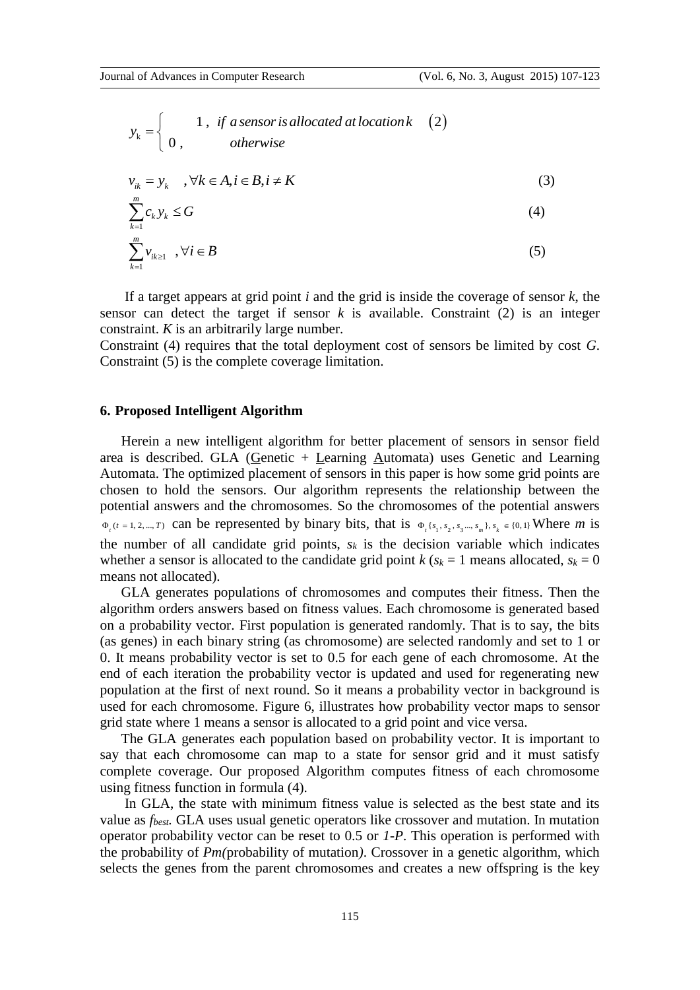$$
y_k = \begin{cases} 1, & \text{if a sensor is allocated at location } k \\ 0, & \text{otherwise} \end{cases}
$$

$$
v_{ik} = y_k, \quad, \forall k \in A, i \in B, i \neq K
$$
 (3)

$$
\sum_{k=1}^{m} c_k y_k \le G \tag{4}
$$

$$
\sum_{k=1}^{m} \nu_{ik \ge 1} \quad, \forall i \in B
$$
 (5)

 If a target appears at grid point *i* and the grid is inside the coverage of sensor *k*, the sensor can detect the target if sensor  $k$  is available. Constraint  $(2)$  is an integer constraint. *K* is an arbitrarily large number.

Constraint (4) requires that the total deployment cost of sensors be limited by cost *G*. Constraint (5) is the complete coverage limitation.

## **6. Proposed Intelligent Algorithm**

*lat locationk* (2)<br>the grid is inside th<br>is available. Co<br>oyment cost of sen<br>intation.<br>The simulation.<br>The simulation of sensition<br>interped all all shows in this paper if<br>the chromosome bits, that is  $\Phi_i$  ( $s_i$ ,  $s_k$  is Herein a new intelligent algorithm for better placement of sensors in sensor field area is described. GLA (Genetic + Learning Automata) uses Genetic and Learning Automata. The optimized placement of sensors in this paper is how some grid points are chosen to hold the sensors. Our algorithm represents the relationship between the potential answers and the chromosomes. So the chromosomes of the potential answers  $\Phi_t(t=1, 2, \ldots, T)$  can be represented by binary bits, that is  $\Phi_t\{s_1, s_2, s_3, \ldots, s_m\}, s_k \in \{0, 1\}$  Where *m* is the number of all candidate grid points,  $s_k$  is the decision variable which indicates whether a sensor is allocated to the candidate grid point  $k$  ( $s_k = 1$  means allocated,  $s_k = 0$ means not allocated).

 GLA generates populations of chromosomes and computes their fitness. Then the algorithm orders answers based on fitness values. Each chromosome is generated based on a probability vector. First population is generated randomly. That is to say, the bits (as genes) in each binary string (as chromosome) are selected randomly and set to 1 or 0. It means probability vector is set to 0.5 for each gene of each chromosome. At the end of each iteration the probability vector is updated and used for regenerating new population at the first of next round. So it means a probability vector in background is used for each chromosome. Figure 6, illustrates how probability vector maps to sensor grid state where 1 means a sensor is allocated to a grid point and vice versa.

 The GLA generates each population based on probability vector. It is important to say that each chromosome can map to a state for sensor grid and it must satisfy complete coverage. Our proposed Algorithm computes fitness of each chromosome using fitness function in formula (4).

 In GLA, the state with minimum fitness value is selected as the best state and its value as *fbest.* GLA uses usual genetic operators like crossover and mutation. In mutation operator probability vector can be reset to 0.5 or *1-P*. This operation is performed with the probability of *Pm(*probability of mutation*)*. Crossover in a genetic algorithm, which selects the genes from the parent chromosomes and creates a new offspring is the key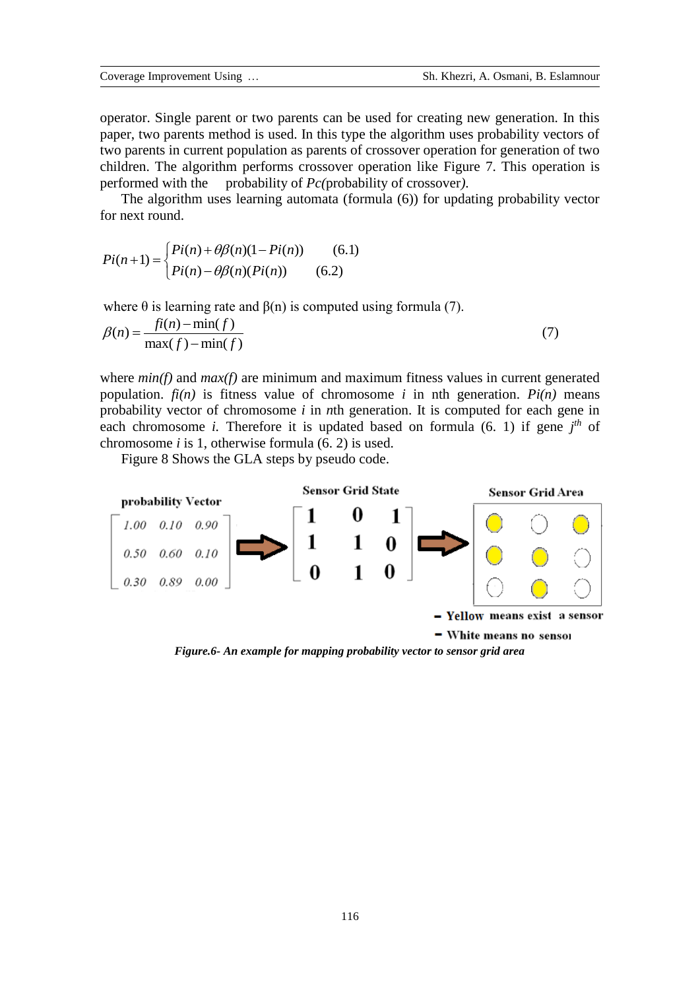operator. Single parent or two parents can be used for creating new generation. In this paper, two parents method is used. In this type the algorithm uses probability vectors of two parents in current population as parents of crossover operation for generation of two children. The algorithm performs crossover operation like Figure 7. This operation is performed with the probability of *Pc(*probability of crossover*)*.

 The algorithm uses learning automata (formula (6)) for updating probability vector for next round.

$$
Pi(n+1) = \begin{cases} Pi(n) + \theta \beta(n)(1 - Pi(n)) & (6.1) \\ Pi(n) - \theta \beta(n)(Pi(n)) & (6.2) \end{cases}
$$

where 
$$
\theta
$$
 is learning rate and  $\beta(n)$  is computed using formula (7).  
\n
$$
\beta(n) = \frac{f(i(n) - \min(f))}{\max(f) - \min(f)}
$$
\n(7)

where *min(f)* and *max(f)* are minimum and maximum fitness values in current generated population.  $f_i(n)$  is fitness value of chromosome *i* in nth generation.  $Pi(n)$  means probability vector of chromosome *i* in *n*th generation. It is computed for each gene in each chromosome *i*. Therefore it is updated based on formula  $(6, 1)$  if gene  $j<sup>th</sup>$  of chromosome *i* is 1, otherwise formula (6. 2) is used.

Figure 8 Shows the GLA steps by pseudo code.



*Figure.6- An example for mapping probability vector to sensor grid area*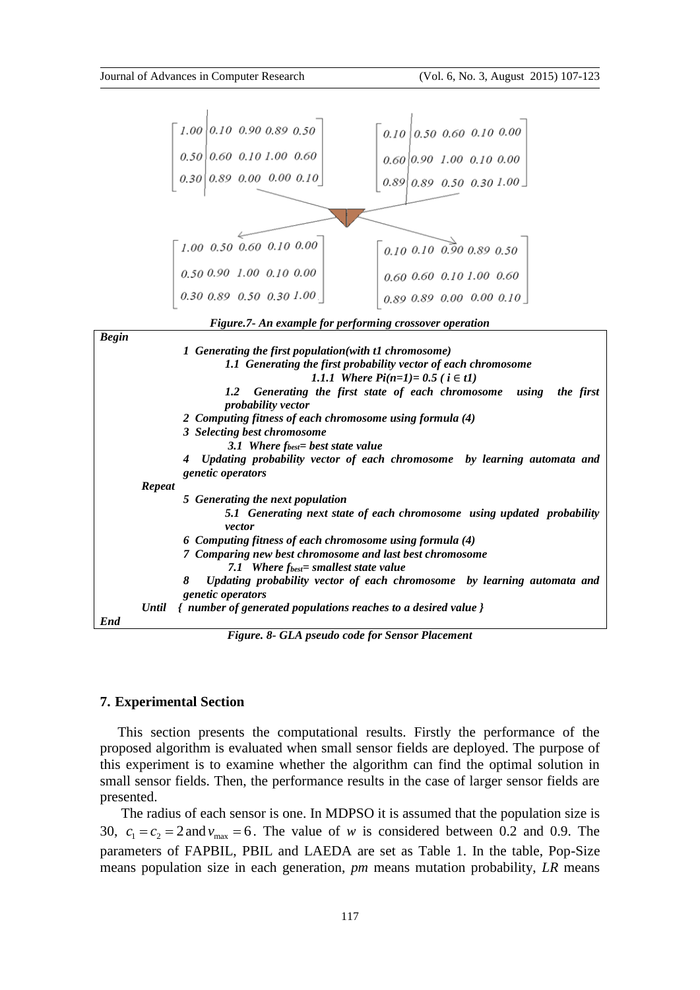

*Figure.7- An example for performing crossover operation*

| <b>Begin</b> |                                                                                                            |
|--------------|------------------------------------------------------------------------------------------------------------|
|              | 1 Generating the first population (with t1 chromosome)                                                     |
|              | 1.1 Generating the first probability vector of each chromosome                                             |
|              | 1.1.1 Where $Pi(n=1) = 0.5$ ( $i \in t1$ )                                                                 |
|              | Generating the first state of each chromosome using<br>the first<br>1.2 <sub>z</sub><br>probability vector |
|              | 2 Computing fitness of each chromosome using formula (4)                                                   |
|              | 3 Selecting best chromosome                                                                                |
|              | 3.1 Where $f_{best}$ best state value                                                                      |
|              | Updating probability vector of each chromosome by learning automata and                                    |
|              | <i>genetic operators</i>                                                                                   |
| Repeat       |                                                                                                            |
|              | 5 Generating the next population                                                                           |
|              |                                                                                                            |
|              | 5.1 Generating next state of each chromosome using updated probability<br>vector                           |
|              | 6 Computing fitness of each chromosome using formula (4)                                                   |
|              | 7 Comparing new best chromosome and last best chromosome                                                   |
|              | 7.1 Where $f_{best}$ smallest state value                                                                  |
|              | Updating probability vector of each chromosome by learning automata and<br>8                               |
|              | <i>genetic operators</i>                                                                                   |
| Until        | { number of generated populations reaches to a desired value }                                             |
| End          |                                                                                                            |

*Figure. 8- GLA pseudo code for Sensor Placement*

# **7. Experimental Section**

 This section presents the computational results. Firstly the performance of the proposed algorithm is evaluated when small sensor fields are deployed. The purpose of this experiment is to examine whether the algorithm can find the optimal solution in small sensor fields. Then, the performance results in the case of larger sensor fields are presented.

 The radius of each sensor is one. In MDPSO it is assumed that the population size is 30,  $c_1 = c_2 = 2$  and  $v_{\text{max}} = 6$ . The value of *w* is considered between 0.2 and 0.9. The parameters of FAPBIL, PBIL and LAEDA are set as Table 1. In the table, Pop-Size means population size in each generation, *pm* means mutation probability, *LR* means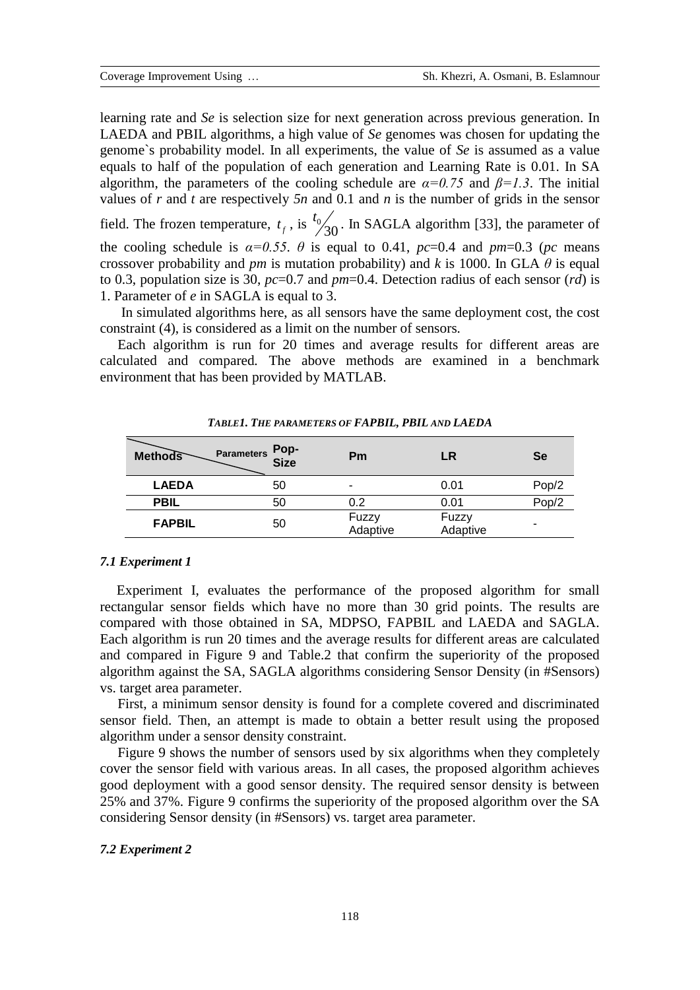learning rate and *Se* is selection size for next generation across previous generation. In LAEDA and PBIL algorithms, a high value of *Se* genomes was chosen for updating the genome`s probability model. In all experiments, the value of *Se* is assumed as a value equals to half of the population of each generation and Learning Rate is 0.01. In SA algorithm, the parameters of the cooling schedule are  $\alpha = 0.75$  and  $\beta = 1.3$ . The initial values of *r* and *t* are respectively *5n* and 0.1 and *n* is the number of grids in the sensor field. The frozen temperature,  $t_f$ , is  $\frac{t_0}{30}$  $t_0$ <sub>20</sub>. In SAGLA algorithm [33], the parameter of the cooling schedule is  $\alpha=0.55$ .  $\theta$  is equal to 0.41,  $pc=0.4$  and  $pm=0.3$  ( $pc$  means crossover probability and *pm* is mutation probability) and *k* is 1000. In GLA  $\theta$  is equal to 0.3, population size is 30, *pc*=0.7 and *pm*=0.4. Detection radius of each sensor (*rd*) is

1. Parameter of *e* in SAGLA is equal to 3.

 In simulated algorithms here, as all sensors have the same deployment cost, the cost constraint (4), is considered as a limit on the number of sensors*.* 

 Each algorithm is run for 20 times and average results for different areas are calculated and compared*.* The above methods are examined in a benchmark environment that has been provided by MATLAB.

| <b>Methods</b> | Pop-<br>Size<br><b>Parameters</b> | Pm                       | LR                | <b>Se</b> |
|----------------|-----------------------------------|--------------------------|-------------------|-----------|
| <b>LAEDA</b>   | 50                                | $\overline{\phantom{0}}$ | 0.01              | Pop/2     |
| <b>PBIL</b>    | 50                                | 0.2                      | 0.01              | Pop/2     |
| <b>FAPBIL</b>  | 50                                | Fuzzy<br>Adaptive        | Fuzzy<br>Adaptive |           |

*TABLE1. THE PARAMETERS OF FAPBIL, PBIL AND LAEDA*

## *7.1 Experiment 1*

Experiment I, evaluates the performance of the proposed algorithm for small rectangular sensor fields which have no more than 30 grid points. The results are compared with those obtained in SA, MDPSO, FAPBIL and LAEDA and SAGLA. Each algorithm is run 20 times and the average results for different areas are calculated and compared in Figure 9 and Table.2 that confirm the superiority of the proposed algorithm against the SA, SAGLA algorithms considering Sensor Density (in #Sensors) vs. target area parameter.

 First, a minimum sensor density is found for a complete covered and discriminated sensor field. Then, an attempt is made to obtain a better result using the proposed algorithm under a sensor density constraint.

 Figure 9 shows the number of sensors used by six algorithms when they completely cover the sensor field with various areas. In all cases, the proposed algorithm achieves good deployment with a good sensor density. The required sensor density is between 25% and 37%. Figure 9 confirms the superiority of the proposed algorithm over the SA considering Sensor density (in #Sensors) vs. target area parameter.

#### *7.2 Experiment 2*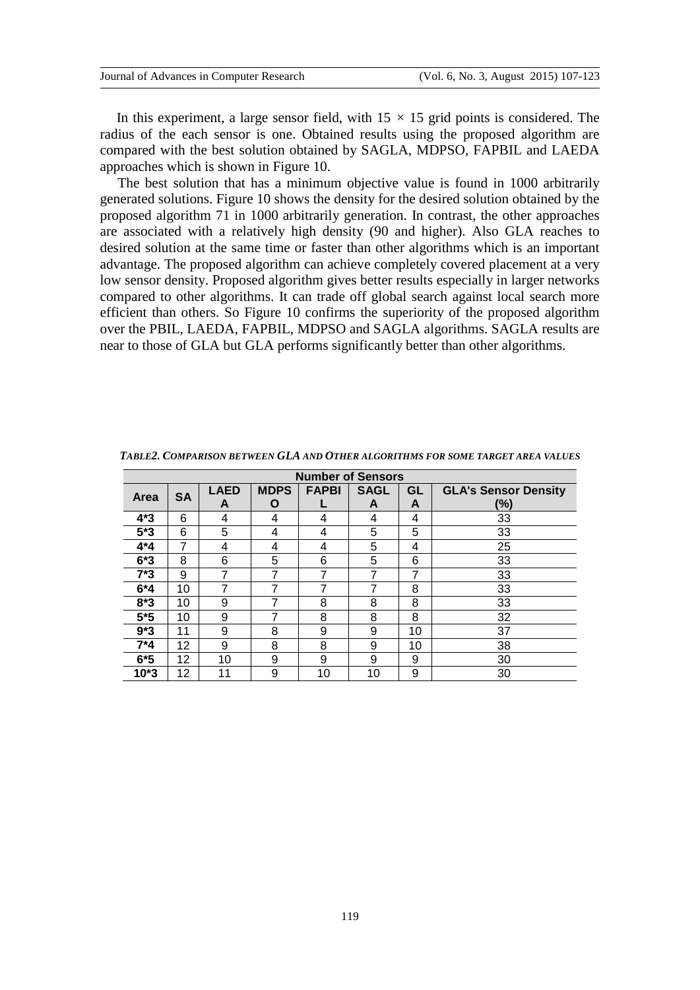In this experiment, a large sensor field, with  $15 \times 15$  grid points is considered. The radius of the each sensor is one. Obtained results using the proposed algorithm are compared with the best solution obtained by SAGLA, MDPSO, FAPBIL and LAEDA approaches which is shown in Figure 10.

 The best solution that has a minimum objective value is found in 1000 arbitrarily generated solutions. Figure 10 shows the density for the desired solution obtained by the proposed algorithm 71 in 1000 arbitrarily generation. In contrast, the other approaches are associated with a relatively high density (90 and higher). Also GLA reaches to desired solution at the same time or faster than other algorithms which is an important advantage. The proposed algorithm can achieve completely covered placement at a very low sensor density. Proposed algorithm gives better results especially in larger networks compared to other algorithms. It can trade off global search against local search more efficient than others. So Figure 10 confirms the superiority of the proposed algorithm over the PBIL, LAEDA, FAPBIL, MDPSO and SAGLA algorithms. SAGLA results are near to those of GLA but GLA performs significantly better than other algorithms.

| <b>Number of Sensors</b> |           |             |             |              |             |    |                             |  |
|--------------------------|-----------|-------------|-------------|--------------|-------------|----|-----------------------------|--|
| Area                     | <b>SA</b> | <b>LAED</b> | <b>MDPS</b> | <b>FAPBI</b> | <b>SAGL</b> | GL | <b>GLA's Sensor Density</b> |  |
|                          |           | A           | O           |              | A           | A  | (%)                         |  |
| $4*3$                    | 6         | 4           | 4           | 4            | 4           | 4  | 33                          |  |
| $5*3$                    | 6         | 5           | 4           | 4            | 5           | 5  | 33                          |  |
| 4*4                      | 7         | 4           | 4           | 4            | 5           | 4  | 25                          |  |
| $6*3$                    | 8         | 6           | 5           | 6            | 5           | 6  | 33                          |  |
| $7*3$                    | 9         | 7           | 7           | 7            | 7           | 7  | 33                          |  |
| $6*4$                    | 10        | 7           | 7           | 7            | 7           | 8  | 33                          |  |
| $8*3$                    | 10        | 9           | 7           | 8            | 8           | 8  | 33                          |  |
| $5*5$                    | 10        | 9           | 7           | 8            | 8           | 8  | 32                          |  |
| $9*3$                    | 11        | 9           | 8           | 9            | 9           | 10 | 37                          |  |
| $7*4$                    | 12        | 9           | 8           | 8            | 9           | 10 | 38                          |  |
| $6*5$                    | 12        | 10          | 9           | 9            | 9           | 9  | 30                          |  |
| $10*3$                   | 12        | 11          | 9           | 10           | 10          | 9  | 30                          |  |

*TABLE2. COMPARISON BETWEEN GLA AND OTHER ALGORITHMS FOR SOME TARGET AREA VALUES*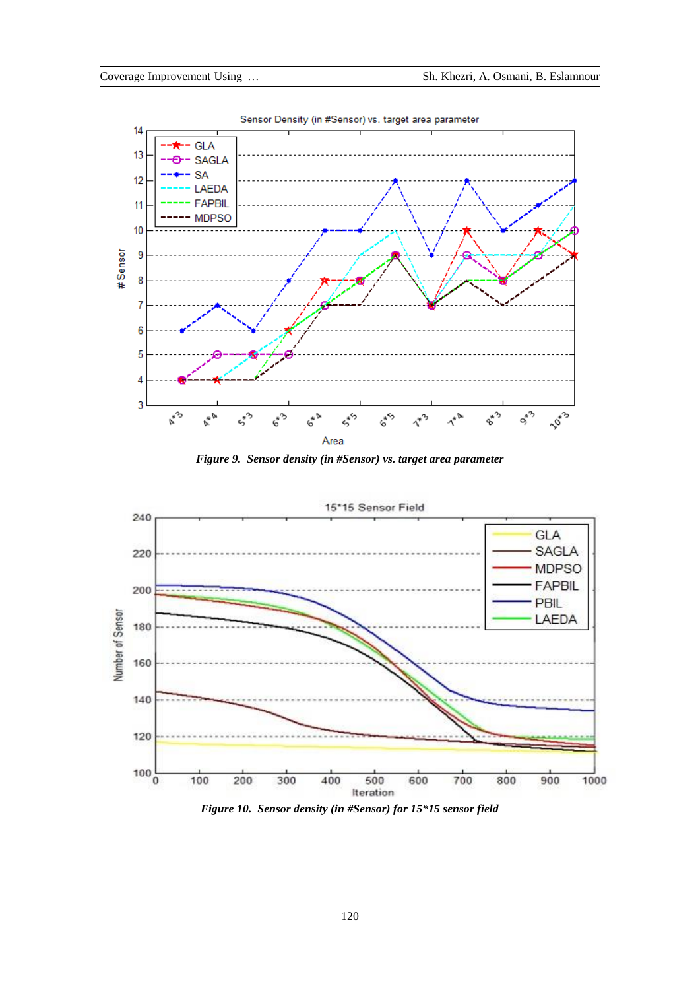





*Figure 10. Sensor density (in #Sensor) for 15\*15 sensor field*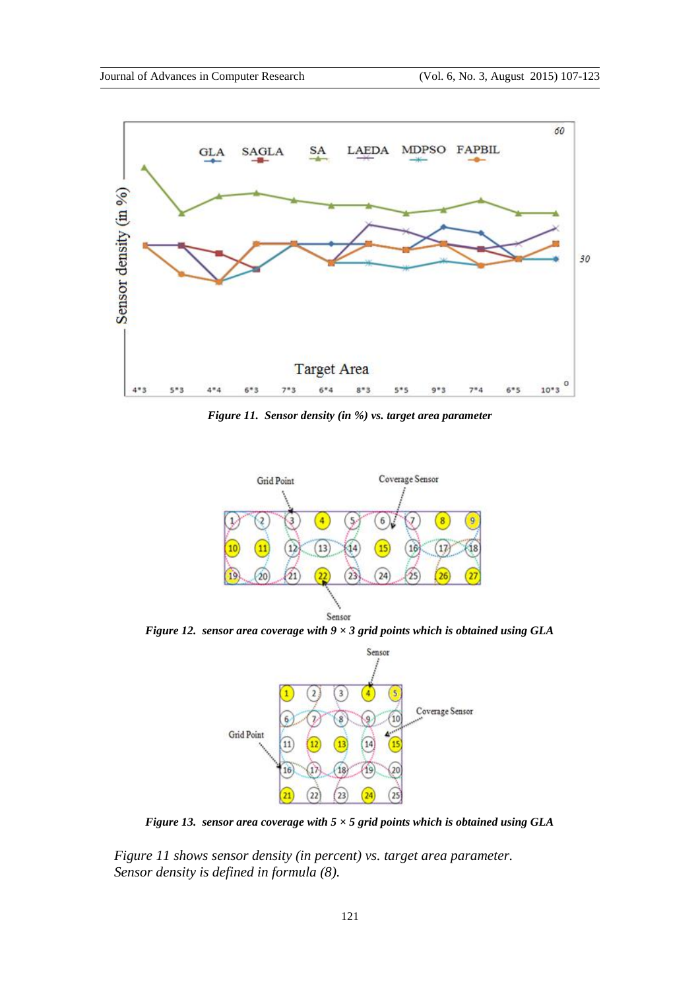

*Figure 11. Sensor density (in %) vs. target area parameter*



*Figure 12. sensor area coverage with 9 × 3 grid points which is obtained using GLA*



*Figure 13. sensor area coverage with 5 × 5 grid points which is obtained using GLA*

 *Figure 11 shows sensor density (in percent) vs. target area parameter. Sensor density is defined in formula (8).*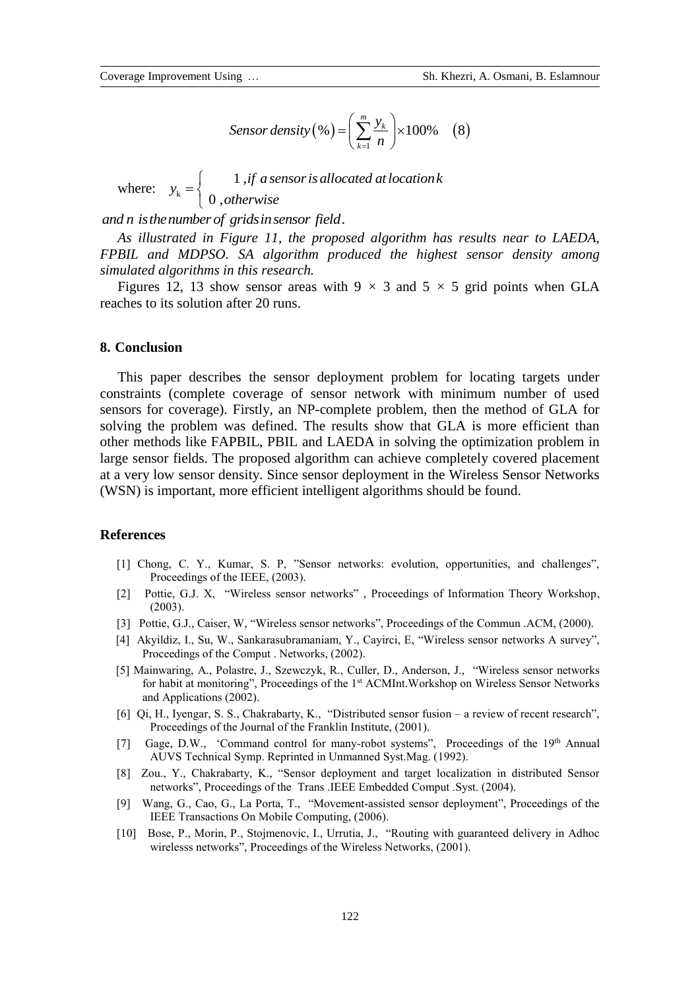$$
Sensor density (\% ) = \left(\sum_{k=1}^{m} \frac{y_k}{n}\right) \times 100\% \quad (8)
$$

where:  $y_k$  $1, j$  $0,$  $y_k =\begin{cases} 1 & \text{if } a \text{ sensor is allocated at location } k, \end{cases}$ *otherwise*  $=\begin{cases}$ where.  $y_k = \begin{cases} 0 \text{ ,} \text{ } \text{otherwise} \end{cases}$ <br>and n is the number of grids in sensor field.

 *As illustrated in Figure 11, the proposed algorithm has results near to LAEDA, FPBIL and MDPSO. SA algorithm produced the highest sensor density among simulated algorithms in this research.* 

Figures 12, 13 show sensor areas with  $9 \times 3$  and  $5 \times 5$  grid points when GLA reaches to its solution after 20 runs.

# **8. Conclusion**

 This paper describes the sensor deployment problem for locating targets under constraints (complete coverage of sensor network with minimum number of used sensors for coverage). Firstly, an NP-complete problem, then the method of GLA for solving the problem was defined. The results show that GLA is more efficient than other methods like FAPBIL, PBIL and LAEDA in solving the optimization problem in large sensor fields. The proposed algorithm can achieve completely covered placement at a very low sensor density. Since sensor deployment in the Wireless Sensor Networks (WSN) is important, more efficient intelligent algorithms should be found.

# **References**

- [1] Chong, C. Y., Kumar, S. P, "Sensor networks: evolution, opportunities, and challenges", Proceedings of the IEEE, (2003).
- [2] Pottie, G.J. X, "Wireless sensor networks" , Proceedings of Information Theory Workshop, (2003).
- [3] Pottie, G.J., Caiser, W, "Wireless sensor networks", Proceedings of the Commun .ACM, (2000).
- [4] Akyildiz, I., Su, W., Sankarasubramaniam, Y., Cayirci, E, "Wireless sensor networks A survey", Proceedings of the Comput . Networks, (2002).
- [5] Mainwaring, A., Polastre, J., Szewczyk, R., Culler, D., Anderson, J., "Wireless sensor networks for habit at monitoring", Proceedings of the 1<sup>st</sup> ACMInt. Workshop on Wireless Sensor Networks and Applications (2002).
- [6] Qi, H., Iyengar, S. S., Chakrabarty, K., "Distributed sensor fusion a review of recent research", Proceedings of the Journal of the Franklin Institute, (2001).
- [7] Gage, D.W., 'Command control for many-robot systems", Proceedings of the 19<sup>th</sup> Annual AUVS Technical Symp. Reprinted in Unmanned Syst.Mag. (1992).
- [8] Zou., Y., Chakrabarty, K., "Sensor deployment and target localization in distributed Sensor networks", Proceedings of the Trans .IEEE Embedded Comput .Syst. (2004).
- [9] Wang, G., Cao, G., La Porta, T., "Movement-assisted sensor deployment", Proceedings of the IEEE Transactions On Mobile Computing, (2006).
- [10] Bose, P., Morin, P., Stojmenovic, I., Urrutia, J., "Routing with guaranteed delivery in Adhoc wirelesss networks", Proceedings of the Wireless Networks, (2001).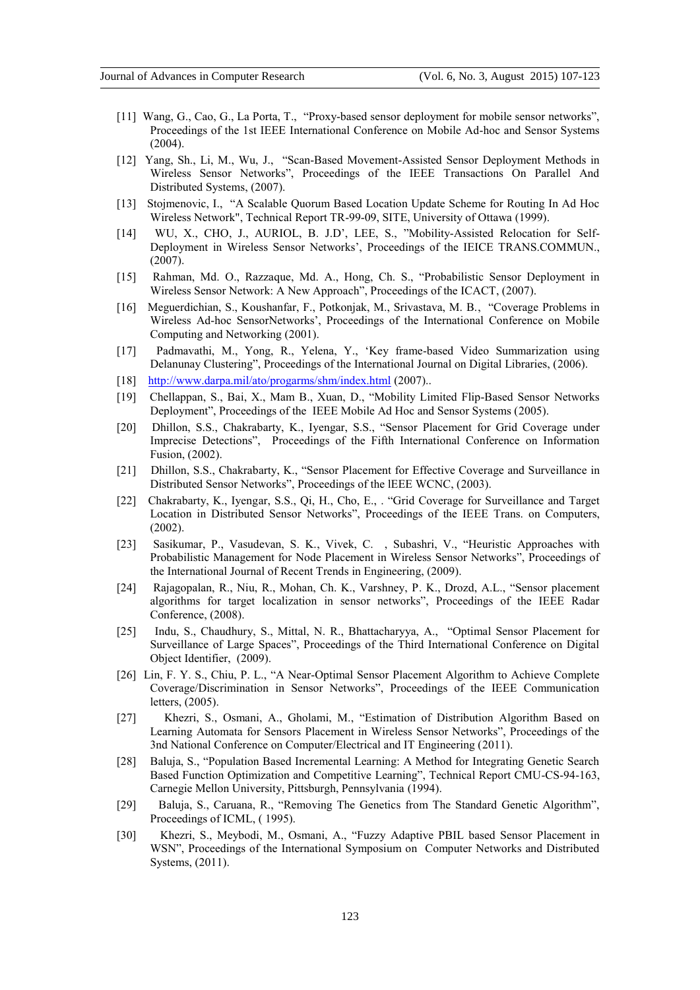- [11] Wang, G., Cao, G., La Porta, T., "Proxy-based sensor deployment for mobile sensor networks", Proceedings of the 1st IEEE International Conference on Mobile Ad-hoc and Sensor Systems  $(2004)$ .
- [12] Yang, Sh., Li, M., Wu, J., "Scan-Based Movement-Assisted Sensor Deployment Methods in Wireless Sensor Networks", Proceedings of the IEEE Transactions On Parallel And Distributed Systems, (2007).
- [13] Stojmenovic, I., "A Scalable Quorum Based Location Update Scheme for Routing In Ad Hoc Wireless Network", Technical Report TR-99-09, SITE, University of Ottawa (1999).
- [14] WU, X., CHO, J., AURIOL, B. J.D', LEE, S., "Mobility-Assisted Relocation for Self-Deployment in Wireless Sensor Networks', Proceedings of the IEICE TRANS.COMMUN., (2007).
- [15] Rahman, Md. O., Razzaque, Md. A., Hong, Ch. S., "Probabilistic Sensor Deployment in Wireless Sensor Network: A New Approach", Proceedings of the ICACT, (2007).
- [16] Meguerdichian, S., Koushanfar, F., Potkonjak, M., Srivastava, M. B., "Coverage Problems in Wireless Ad-hoc SensorNetworks', Proceedings of the International Conference on Mobile Computing and Networking (2001).
- [17] Padmavathi, M., Yong, R., Yelena, Y., 'Key frame-based Video Summarization using Delanunay Clustering", Proceedings of the International Journal on Digital Libraries, (2006).
- [18] <http://www.darpa.mil/ato/progarms/shm/index.html> (2007)...
- [19] Chellappan, S., Bai, X., Mam B., Xuan, D., "Mobility Limited Flip-Based Sensor Networks Deployment", Proceedings of the IEEE Mobile Ad Hoc and Sensor Systems (2005).
- [20] Dhillon, S.S., Chakrabarty, K., Iyengar, S.S., "Sensor Placement for Grid Coverage under Imprecise Detections", Proceedings of the Fifth International Conference on Information Fusion, (2002).
- [21] Dhillon, S.S., Chakrabarty, K., "Sensor Placement for Effective Coverage and Surveillance in Distributed Sensor Networks", Proceedings of the lEEE WCNC, (2003).
- [22] Chakrabarty, K., Iyengar, S.S., Qi, H., Cho, E., . "Grid Coverage for Surveillance and Target Location in Distributed Sensor Networks", Proceedings of the IEEE Trans. on Computers, (2002).
- [23] Sasikumar, P., Vasudevan, S. K., Vivek, C. , Subashri, V., "Heuristic Approaches with Probabilistic Management for Node Placement in Wireless Sensor Networks", Proceedings of the International Journal of Recent Trends in Engineering, (2009).
- [24] Rajagopalan, R., Niu, R., Mohan, Ch. K., Varshney, P. K., Drozd, A.L., "Sensor placement algorithms for target localization in sensor networks", Proceedings of the IEEE Radar Conference, (2008).
- [25] Indu, S., Chaudhury, S., Mittal, N. R., Bhattacharyya, A., "Optimal Sensor Placement for Surveillance of Large Spaces", Proceedings of the Third International Conference on Digital Object Identifier, (2009).
- [26] Lin, F. Y. S., Chiu, P. L., "A Near-Optimal Sensor Placement Algorithm to Achieve Complete Coverage/Discrimination in Sensor Networks", Proceedings of the IEEE Communication letters, (2005).
- [27] Khezri, S., Osmani, A., Gholami, M., "Estimation of Distribution Algorithm Based on Learning Automata for Sensors Placement in Wireless Sensor Networks", Proceedings of the 3nd National Conference on Computer/Electrical and IT Engineering (2011).
- [28] Baluja, S., "Population Based Incremental Learning: A Method for Integrating Genetic Search Based Function Optimization and Competitive Learning", Technical Report CMU-CS-94-163, Carnegie Mellon University, Pittsburgh, Pennsylvania (1994).
- [29] Baluja, S., Caruana, R., "Removing The Genetics from The Standard Genetic Algorithm", Proceedings of ICML, ( 1995).
- [30] Khezri, S., Meybodi, M., Osmani, A., "Fuzzy Adaptive PBIL based Sensor Placement in WSN", Proceedings of the International Symposium on Computer Networks and Distributed Systems, (2011).